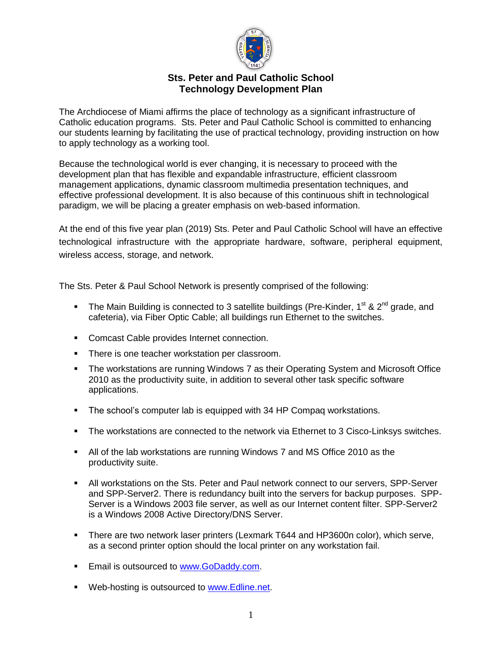

# **Sts. Peter and Paul Catholic School Technology Development Plan**

The Archdiocese of Miami affirms the place of technology as a significant infrastructure of Catholic education programs. Sts. Peter and Paul Catholic School is committed to enhancing our students learning by facilitating the use of practical technology, providing instruction on how to apply technology as a working tool.

Because the technological world is ever changing, it is necessary to proceed with the development plan that has flexible and expandable infrastructure, efficient classroom management applications, dynamic classroom multimedia presentation techniques, and effective professional development. It is also because of this continuous shift in technological paradigm, we will be placing a greater emphasis on web-based information.

At the end of this five year plan (2019) Sts. Peter and Paul Catholic School will have an effective technological infrastructure with the appropriate hardware, software, peripheral equipment, wireless access, storage, and network.

The Sts. Peter & Paul School Network is presently comprised of the following:

- The Main Building is connected to 3 satellite buildings (Pre-Kinder, 1<sup>st</sup> & 2<sup>nd</sup> grade, and cafeteria), via Fiber Optic Cable; all buildings run Ethernet to the switches.
- **Comcast Cable provides Internet connection.**
- **There is one teacher workstation per classroom.**
- **The workstations are running Windows 7 as their Operating System and Microsoft Office** 2010 as the productivity suite, in addition to several other task specific software applications.
- The school's computer lab is equipped with 34 HP Compaq workstations.
- The workstations are connected to the network via Ethernet to 3 Cisco-Linksys switches.
- All of the lab workstations are running Windows 7 and MS Office 2010 as the productivity suite.
- All workstations on the Sts. Peter and Paul network connect to our servers, SPP-Server and SPP-Server2. There is redundancy built into the servers for backup purposes. SPP-Server is a Windows 2003 file server, as well as our Internet content filter. SPP-Server2 is a Windows 2008 Active Directory/DNS Server.
- There are two network laser printers (Lexmark T644 and HP3600n color), which serve, as a second printer option should the local printer on any workstation fail.
- **Email is outsourced to [www.GoDaddy.com.](http://www.godaddy.com/)**
- **Web-hosting is outsourced to [www.Edline.net.](http://www.edline.net/)**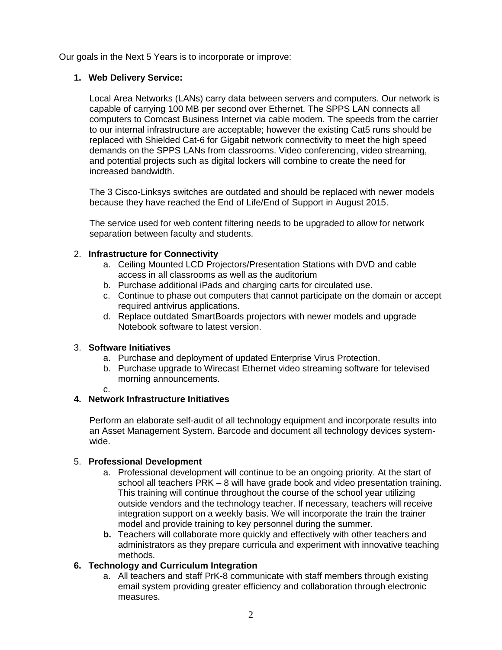Our goals in the Next 5 Years is to incorporate or improve:

## **1. Web Delivery Service:**

Local Area Networks (LANs) carry data between servers and computers. Our network is capable of carrying 100 MB per second over Ethernet. The SPPS LAN connects all computers to Comcast Business Internet via cable modem. The speeds from the carrier to our internal infrastructure are acceptable; however the existing Cat5 runs should be replaced with Shielded Cat-6 for Gigabit network connectivity to meet the high speed demands on the SPPS LANs from classrooms. Video conferencing, video streaming, and potential projects such as digital lockers will combine to create the need for increased bandwidth.

The 3 Cisco-Linksys switches are outdated and should be replaced with newer models because they have reached the End of Life/End of Support in August 2015.

The service used for web content filtering needs to be upgraded to allow for network separation between faculty and students.

### 2. **Infrastructure for Connectivity**

- a. Ceiling Mounted LCD Projectors/Presentation Stations with DVD and cable access in all classrooms as well as the auditorium
- b. Purchase additional iPads and charging carts for circulated use.
- c. Continue to phase out computers that cannot participate on the domain or accept required antivirus applications.
- d. Replace outdated SmartBoards projectors with newer models and upgrade Notebook software to latest version.

## 3. **Software Initiatives**

- a. Purchase and deployment of updated Enterprise Virus Protection.
- b. Purchase upgrade to Wirecast Ethernet video streaming software for televised morning announcements.
- c.

## **4. Network Infrastructure Initiatives**

Perform an elaborate self-audit of all technology equipment and incorporate results into an Asset Management System. Barcode and document all technology devices systemwide.

#### 5. **Professional Development**

- a. Professional development will continue to be an ongoing priority. At the start of school all teachers PRK – 8 will have grade book and video presentation training. This training will continue throughout the course of the school year utilizing outside vendors and the technology teacher. If necessary, teachers will receive integration support on a weekly basis. We will incorporate the train the trainer model and provide training to key personnel during the summer.
- **b.** Teachers will collaborate more quickly and effectively with other teachers and administrators as they prepare curricula and experiment with innovative teaching methods.

### **6. Technology and Curriculum Integration**

a. All teachers and staff PrK-8 communicate with staff members through existing email system providing greater efficiency and collaboration through electronic measures.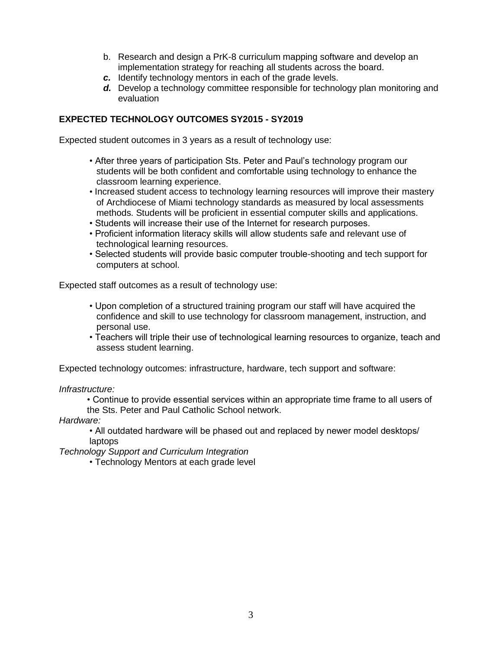- b. Research and design a PrK-8 curriculum mapping software and develop an implementation strategy for reaching all students across the board.
- *c.* Identify technology mentors in each of the grade levels.
- *d.* Develop a technology committee responsible for technology plan monitoring and evaluation

## **EXPECTED TECHNOLOGY OUTCOMES SY2015 - SY2019**

Expected student outcomes in 3 years as a result of technology use:

- After three years of participation Sts. Peter and Paul's technology program our students will be both confident and comfortable using technology to enhance the classroom learning experience.
- Increased student access to technology learning resources will improve their mastery of Archdiocese of Miami technology standards as measured by local assessments methods. Students will be proficient in essential computer skills and applications.
- Students will increase their use of the Internet for research purposes.
- Proficient information literacy skills will allow students safe and relevant use of technological learning resources.
- Selected students will provide basic computer trouble-shooting and tech support for computers at school.

Expected staff outcomes as a result of technology use:

- Upon completion of a structured training program our staff will have acquired the confidence and skill to use technology for classroom management, instruction, and personal use.
- Teachers will triple their use of technological learning resources to organize, teach and assess student learning.

Expected technology outcomes: infrastructure, hardware, tech support and software:

*Infrastructure:*

• Continue to provide essential services within an appropriate time frame to all users of the Sts. Peter and Paul Catholic School network.

*Hardware:*

• All outdated hardware will be phased out and replaced by newer model desktops/ laptops

*Technology Support and Curriculum Integration*

• Technology Mentors at each grade level